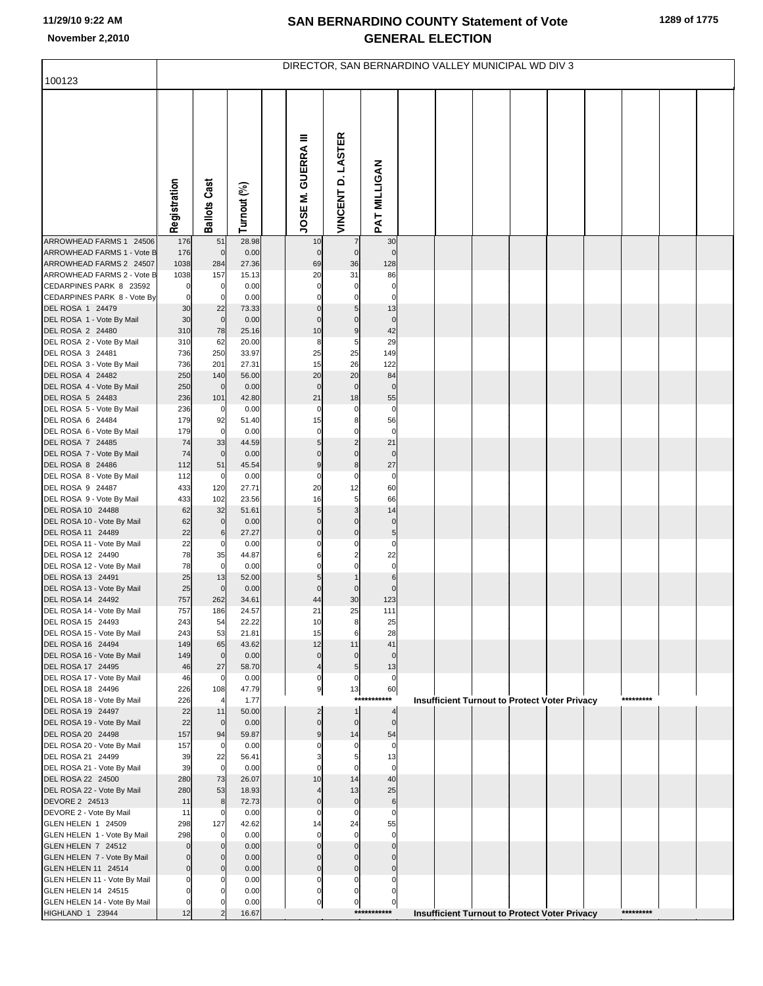|                                                       | DIRECTOR, SAN BERNARDINO VALLEY MUNICIPAL WD DIV 3 |                       |                |  |                               |                               |                            |  |  |  |                                                      |  |  |           |  |  |
|-------------------------------------------------------|----------------------------------------------------|-----------------------|----------------|--|-------------------------------|-------------------------------|----------------------------|--|--|--|------------------------------------------------------|--|--|-----------|--|--|
| 100123                                                |                                                    |                       |                |  |                               |                               |                            |  |  |  |                                                      |  |  |           |  |  |
|                                                       | Registration                                       | <b>Ballots Cast</b>   | Turnout (%)    |  | JOSE M. GUERRA III            | VINCENT D. LASTER             | PAT MILLIGAN               |  |  |  |                                                      |  |  |           |  |  |
| ARROWHEAD FARMS 1 24506                               | 176                                                | 51                    | 28.98          |  | 10                            |                               | 30                         |  |  |  |                                                      |  |  |           |  |  |
| ARROWHEAD FARMS 1 - Vote B<br>ARROWHEAD FARMS 2 24507 | 176<br>1038                                        | $\pmb{0}$<br>284      | 0.00<br>27.36  |  | $\mathbf 0$<br>69             | $\mathbf 0$<br>36             | $\mathbf 0$<br>128         |  |  |  |                                                      |  |  |           |  |  |
| ARROWHEAD FARMS 2 - Vote B                            | 1038                                               | 157                   | 15.13          |  | 20                            | 31                            | 86                         |  |  |  |                                                      |  |  |           |  |  |
| CEDARPINES PARK 8 23592                               | 0                                                  | 0                     | 0.00           |  | $\Omega$                      | $\mathbf 0$                   | $\mathbf 0$                |  |  |  |                                                      |  |  |           |  |  |
| CEDARPINES PARK 8 - Vote By<br>DEL ROSA 1 24479       | $\pmb{0}$<br>30                                    | $\mathbf 0$<br>22     | 0.00<br>73.33  |  | $\Omega$<br>$\mathbf 0$       | $\mathbf 0$<br>5              | $\mathbf 0$<br>13          |  |  |  |                                                      |  |  |           |  |  |
| DEL ROSA 1 - Vote By Mail                             | 30                                                 | $\pmb{0}$             | 0.00           |  | $\mathbf 0$                   | 0                             | $\pmb{0}$                  |  |  |  |                                                      |  |  |           |  |  |
| DEL ROSA 2 24480                                      | 310                                                | 78                    | 25.16          |  | 10                            | 9                             | 42                         |  |  |  |                                                      |  |  |           |  |  |
| DEL ROSA 2 - Vote By Mail                             | 310                                                | 62                    | 20.00          |  | 8                             | 5                             | 29                         |  |  |  |                                                      |  |  |           |  |  |
| DEL ROSA 3 24481<br>DEL ROSA 3 - Vote By Mail         | 736<br>736                                         | 250<br>201            | 33.97<br>27.31 |  | 25<br>15                      | 25<br>26                      | 149<br>122                 |  |  |  |                                                      |  |  |           |  |  |
| DEL ROSA 4 24482                                      | 250                                                | 140                   | 56.00          |  | 20                            | 20                            | 84                         |  |  |  |                                                      |  |  |           |  |  |
| DEL ROSA 4 - Vote By Mail                             | 250                                                | $\mathbf 0$           | 0.00           |  | $\mathbf 0$                   | $\pmb{0}$                     | $\pmb{0}$                  |  |  |  |                                                      |  |  |           |  |  |
| DEL ROSA 5 24483<br>DEL ROSA 5 - Vote By Mail         | 236<br>236                                         | 101<br>$\mathbf 0$    | 42.80<br>0.00  |  | 21<br>$\mathbf 0$             | 18<br>$\mathbf 0$             | 55<br>$\pmb{0}$            |  |  |  |                                                      |  |  |           |  |  |
| DEL ROSA 6 24484                                      | 179                                                | 92                    | 51.40          |  | 15                            | 8                             | 56                         |  |  |  |                                                      |  |  |           |  |  |
| DEL ROSA 6 - Vote By Mail                             | 179                                                | $\mathbf 0$           | 0.00           |  | $\mathbf 0$                   | $\mathbf 0$                   | $\pmb{0}$                  |  |  |  |                                                      |  |  |           |  |  |
| DEL ROSA 7 24485                                      | 74                                                 | 33                    | 44.59          |  | 5                             | $\overline{2}$<br>$\mathbf 0$ | 21                         |  |  |  |                                                      |  |  |           |  |  |
| DEL ROSA 7 - Vote By Mail<br>DEL ROSA 8 24486         | 74<br>112                                          | $\pmb{0}$<br>51       | 0.00<br>45.54  |  | 0<br>$\boldsymbol{9}$         | 8                             | $\pmb{0}$<br>27            |  |  |  |                                                      |  |  |           |  |  |
| DEL ROSA 8 - Vote By Mail                             | 112                                                | $\mathbf 0$           | 0.00           |  | $\Omega$                      | 0                             | $\pmb{0}$                  |  |  |  |                                                      |  |  |           |  |  |
| DEL ROSA 9 24487                                      | 433                                                | 120                   | 27.71          |  | 20                            | 12                            | 60                         |  |  |  |                                                      |  |  |           |  |  |
| DEL ROSA 9 - Vote By Mail<br>DEL ROSA 10 24488        | 433<br>62                                          | 102<br>32             | 23.56<br>51.61 |  | 16<br>5                       | 5<br>3                        | 66<br>14                   |  |  |  |                                                      |  |  |           |  |  |
| DEL ROSA 10 - Vote By Mail                            | 62                                                 | $\mathbf 0$           | 0.00           |  | $\Omega$                      | $\mathbf 0$                   | $\pmb{0}$                  |  |  |  |                                                      |  |  |           |  |  |
| DEL ROSA 11 24489                                     | 22                                                 | 6                     | 27.27          |  | $\mathbf 0$                   | $\mathbf 0$                   | $\sqrt{5}$                 |  |  |  |                                                      |  |  |           |  |  |
| DEL ROSA 11 - Vote By Mail<br>DEL ROSA 12 24490       | 22<br>78                                           | C<br>35               | 0.00<br>44.87  |  | 6                             | 0<br>$\overline{2}$           | $\mathbf 0$<br>22          |  |  |  |                                                      |  |  |           |  |  |
| DEL ROSA 12 - Vote By Mail                            | 78                                                 | $\mathbf 0$           | 0.00           |  | $\Omega$                      | $\Omega$                      | $\pmb{0}$                  |  |  |  |                                                      |  |  |           |  |  |
| DEL ROSA 13 24491                                     | 25                                                 | 13                    | 52.00          |  | 5                             |                               | 6                          |  |  |  |                                                      |  |  |           |  |  |
| DEL ROSA 13 - Vote By Mail                            | 25                                                 | $\mathbf 0$           | 0.00           |  | $\Omega$                      | $\mathbf 0$                   | $\mathbf 0$                |  |  |  |                                                      |  |  |           |  |  |
| DEL ROSA 14 24492<br>DEL ROSA 14 - Vote By Mail       | 757<br>757                                         | 262<br>186            | 34.61<br>24.57 |  | 44<br>21                      | 30<br>25                      | 123<br>111                 |  |  |  |                                                      |  |  |           |  |  |
| DEL ROSA 15 24493                                     | 243                                                | 54                    | 22.22          |  | 10                            | 8                             | 25                         |  |  |  |                                                      |  |  |           |  |  |
| DEL ROSA 15 - Vote By Mail                            | 243                                                | 53                    | 21.81          |  | 15                            | 6                             | 28                         |  |  |  |                                                      |  |  |           |  |  |
| DEL ROSA 16 24494<br>DEL ROSA 16 - Vote By Mail       | 149<br>149                                         | 65<br>$\mathbf 0$     | 43.62<br>0.00  |  | 12<br>$\mathbf 0$             | 11<br>$\mathbf 0$             | 41<br>$\mathbf 0$          |  |  |  |                                                      |  |  |           |  |  |
| DEL ROSA 17 24495                                     | 46                                                 | 27                    | 58.70          |  | $\overline{4}$                | 5                             | 13                         |  |  |  |                                                      |  |  |           |  |  |
| DEL ROSA 17 - Vote By Mail                            | 46                                                 | $\mathbf 0$           | 0.00           |  | 0                             | $\mathbf 0$                   | $\mathbf 0$                |  |  |  |                                                      |  |  |           |  |  |
| DEL ROSA 18 24496<br>DEL ROSA 18 - Vote By Mail       | 226<br>226                                         | 108<br>$\overline{4}$ | 47.79<br>1.77  |  | 9                             | 13<br>***                     | 60<br>$^{\star\star}$      |  |  |  | <b>Insufficient Turnout to Protect Voter Privacy</b> |  |  | ********* |  |  |
| DEL ROSA 19 24497                                     | 22                                                 | 11                    | 50.00          |  | $\overline{2}$                | $\mathbf{1}$                  | $\overline{4}$             |  |  |  |                                                      |  |  |           |  |  |
| DEL ROSA 19 - Vote By Mail                            | 22                                                 | $\mathbf 0$           | 0.00           |  | $\mathbf 0$                   | $\pmb{0}$                     | $\overline{0}$             |  |  |  |                                                      |  |  |           |  |  |
| DEL ROSA 20 24498<br>DEL ROSA 20 - Vote By Mail       | 157<br>157                                         | 94<br>$\mathbf 0$     | 59.87<br>0.00  |  | 9<br>O                        | 14<br>$\mathbf 0$             | 54<br>$\pmb{0}$            |  |  |  |                                                      |  |  |           |  |  |
| DEL ROSA 21 24499                                     | 39                                                 | 22                    | 56.41          |  | 3                             | 5                             | 13                         |  |  |  |                                                      |  |  |           |  |  |
| DEL ROSA 21 - Vote By Mail                            | 39                                                 | $\mathbf 0$           | 0.00           |  | $\Omega$                      | $\mathbf 0$                   | $\mathbf 0$                |  |  |  |                                                      |  |  |           |  |  |
| DEL ROSA 22 24500                                     | 280                                                | 73                    | 26.07          |  | 10                            | 14                            | 40                         |  |  |  |                                                      |  |  |           |  |  |
| DEL ROSA 22 - Vote By Mail<br>DEVORE 2 24513          | 280<br>11                                          | 53<br>8               | 18.93<br>72.73 |  | $\overline{4}$<br>$\mathbf 0$ | 13<br>$\pmb{0}$               | 25<br>$\,6$                |  |  |  |                                                      |  |  |           |  |  |
| DEVORE 2 - Vote By Mail                               | 11                                                 | $\mathcal{C}$         | 0.00           |  | $\Omega$                      | $\mathbf 0$                   | $\mathbf 0$                |  |  |  |                                                      |  |  |           |  |  |
| GLEN HELEN 1 24509                                    | 298                                                | 127                   | 42.62          |  | 14                            | 24                            | 55                         |  |  |  |                                                      |  |  |           |  |  |
| GLEN HELEN 1 - Vote By Mail<br>GLEN HELEN 7 24512     | 298<br>$\mathbf 0$                                 | $\Omega$              | 0.00<br>0.00   |  | $\Omega$<br>$\mathbf{0}$      | $\mathbf 0$<br>$\Omega$       | $\mathbf 0$<br>$\mathbf 0$ |  |  |  |                                                      |  |  |           |  |  |
| GLEN HELEN 7 - Vote By Mail                           | $\mathbf 0$                                        |                       | 0.00           |  | $\Omega$                      | $\Omega$                      | $\Omega$                   |  |  |  |                                                      |  |  |           |  |  |
| GLEN HELEN 11 24514                                   | $\overline{0}$                                     |                       | 0.00           |  | $\mathbf 0$                   | $\mathbf 0$                   | $\mathbf 0$                |  |  |  |                                                      |  |  |           |  |  |
| GLEN HELEN 11 - Vote By Mail<br>GLEN HELEN 14 24515   | $\mathbf 0$<br>$\Omega$                            |                       | 0.00<br>0.00   |  | $\Omega$<br>$\mathbf 0$       | $\mathbf 0$<br>$\mathbf 0$    | 0<br>0                     |  |  |  |                                                      |  |  |           |  |  |
| GLEN HELEN 14 - Vote By Mail                          | $\mathbf 0$                                        |                       | 0.00           |  | $\pmb{0}$                     | $\pmb{0}$                     | $\overline{0}$             |  |  |  |                                                      |  |  |           |  |  |
| HIGHLAND 1 23944                                      | 12                                                 |                       | 16.67          |  |                               |                               | ***********                |  |  |  | <b>Insufficient Turnout to Protect Voter Privacy</b> |  |  | ********* |  |  |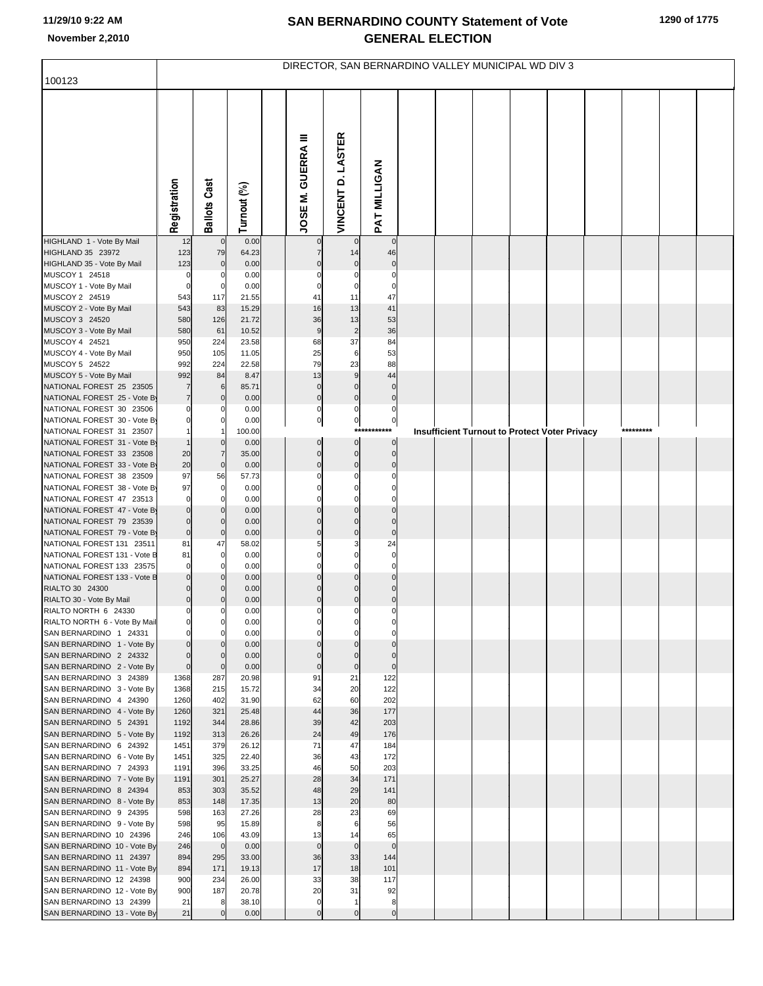|                                                          | DIRECTOR, SAN BERNARDINO VALLEY MUNICIPAL WD DIV 3 |                          |                |  |                           |                     |                             |  |  |  |                                               |  |  |           |  |  |
|----------------------------------------------------------|----------------------------------------------------|--------------------------|----------------|--|---------------------------|---------------------|-----------------------------|--|--|--|-----------------------------------------------|--|--|-----------|--|--|
| 100123                                                   |                                                    |                          |                |  |                           |                     |                             |  |  |  |                                               |  |  |           |  |  |
|                                                          | Registration                                       | <b>Ballots Cast</b>      | Turnout (%)    |  | <b>JOSE M. GUERRA III</b> | VINCENT D. LASTER   | PAT MILLIGAN                |  |  |  |                                               |  |  |           |  |  |
| HIGHLAND 1 - Vote By Mail                                | 12                                                 | $\mathbf 0$              | 0.00           |  | $\mathbf 0$               | $\overline{0}$      | $\overline{0}$              |  |  |  |                                               |  |  |           |  |  |
| HIGHLAND 35 23972                                        | 123                                                | 79                       | 64.23          |  | $\overline{7}$            | 14                  | 46                          |  |  |  |                                               |  |  |           |  |  |
| HIGHLAND 35 - Vote By Mail<br>MUSCOY 1 24518             | 123<br>$\mathbf 0$                                 | $\mathbf 0$              | 0.00<br>0.00   |  | $\Omega$                  | $\mathbf 0$         | $\mathbf 0$<br>$\mathbf 0$  |  |  |  |                                               |  |  |           |  |  |
| MUSCOY 1 - Vote By Mail                                  | $\mathbf 0$                                        | 0                        | 0.00           |  | $\Omega$                  |                     | $\mathbf 0$                 |  |  |  |                                               |  |  |           |  |  |
| MUSCOY 2 24519                                           | 543                                                | 117                      | 21.55          |  | 41                        | 11                  | 47                          |  |  |  |                                               |  |  |           |  |  |
| MUSCOY 2 - Vote By Mail                                  | 543                                                | 83                       | 15.29          |  | 16                        | 13                  | 41                          |  |  |  |                                               |  |  |           |  |  |
| MUSCOY 3 24520                                           | 580                                                | 126                      | 21.72          |  | 36                        | 13                  | 53                          |  |  |  |                                               |  |  |           |  |  |
| MUSCOY 3 - Vote By Mail                                  | 580                                                | 61                       | 10.52          |  | $9\,$                     | $\overline{2}$      | 36                          |  |  |  |                                               |  |  |           |  |  |
| MUSCOY 4 24521                                           | 950                                                | 224                      | 23.58          |  | 68                        | 37                  | 84                          |  |  |  |                                               |  |  |           |  |  |
| MUSCOY 4 - Vote By Mail<br>MUSCOY 5 24522                | 950<br>992                                         | 105<br>224               | 11.05<br>22.58 |  | 25<br>79                  | 6<br>23             | 53<br>88                    |  |  |  |                                               |  |  |           |  |  |
| MUSCOY 5 - Vote By Mail                                  | 992                                                | 84                       | 8.47           |  | 13                        | 9                   | 44                          |  |  |  |                                               |  |  |           |  |  |
| NATIONAL FOREST 25 23505                                 | $\overline{7}$                                     | 6                        | 85.71          |  | $\mathbf 0$               | $\mathbf 0$         | $\overline{0}$              |  |  |  |                                               |  |  |           |  |  |
| NATIONAL FOREST 25 - Vote By                             | $\overline{7}$                                     | $\mathbf 0$              | 0.00           |  | $\pmb{0}$                 | $\mathbf 0$         | $\overline{0}$              |  |  |  |                                               |  |  |           |  |  |
| NATIONAL FOREST 30 23506                                 | $\Omega$                                           | n                        | 0.00           |  | $\mathbf 0$               | 0                   | $\overline{0}$              |  |  |  |                                               |  |  |           |  |  |
| NATIONAL FOREST 30 - Vote By                             | $\Omega$                                           | $\Omega$                 | 0.00           |  | $\overline{0}$            | $\mathbf{0}$<br>*** | $\overline{0}$              |  |  |  |                                               |  |  | ********* |  |  |
| NATIONAL FOREST 31 23507<br>NATIONAL FOREST 31 - Vote By |                                                    | $\mathbf 0$              | 100.00<br>0.00 |  | $\mathbf 0$               | $\overline{0}$      | $\overline{0}$              |  |  |  | Insufficient Turnout to Protect Voter Privacy |  |  |           |  |  |
| NATIONAL FOREST 33 23508                                 | 20                                                 | $\overline{7}$           | 35.00          |  | $\mathbf 0$               | $\overline{0}$      | $\overline{0}$              |  |  |  |                                               |  |  |           |  |  |
| NATIONAL FOREST 33 - Vote By                             | 20                                                 | $\mathbf 0$              | 0.00           |  | $\mathbf 0$               | $\mathbf 0$         | $\mathbf 0$                 |  |  |  |                                               |  |  |           |  |  |
| NATIONAL FOREST 38 23509                                 | 97                                                 | 56                       | 57.73          |  | $\Omega$                  | $\Omega$            |                             |  |  |  |                                               |  |  |           |  |  |
| NATIONAL FOREST 38 - Vote By                             | 97                                                 | 0                        | 0.00           |  |                           |                     |                             |  |  |  |                                               |  |  |           |  |  |
| NATIONAL FOREST 47 23513<br>NATIONAL FOREST 47 - Vote By | $\mathbf 0$<br>$\mathbf 0$                         | $\Omega$<br>$\Omega$     | 0.00<br>0.00   |  | $\Omega$                  | $\mathbf 0$         | $\mathbf 0$                 |  |  |  |                                               |  |  |           |  |  |
| NATIONAL FOREST 79 23539                                 | $\mathbf 0$                                        | $\mathbf 0$              | 0.00           |  | $\Omega$                  | $\Omega$            | $\mathbf 0$                 |  |  |  |                                               |  |  |           |  |  |
| NATIONAL FOREST 79 - Vote By                             | $\overline{0}$                                     | $\mathbf 0$              | 0.00           |  | $\Omega$                  | $\mathbf 0$         | $\mathbf 0$                 |  |  |  |                                               |  |  |           |  |  |
| NATIONAL FOREST 131 23511                                | 81                                                 | 47                       | 58.02          |  | 5                         |                     | 24                          |  |  |  |                                               |  |  |           |  |  |
| NATIONAL FOREST 131 - Vote B                             | 81                                                 | 0                        | 0.00           |  | $\Omega$                  |                     | $\mathbf 0$                 |  |  |  |                                               |  |  |           |  |  |
| NATIONAL FOREST 133 23575                                | $\mathbf 0$                                        | $\Omega$                 | 0.00           |  | $\Omega$                  |                     | $\mathbf 0$                 |  |  |  |                                               |  |  |           |  |  |
| NATIONAL FOREST 133 - Vote B<br>RIALTO 30 24300          | $\mathbf 0$                                        | $\Omega$<br>$\mathbf{0}$ | 0.00<br>0.00   |  | $\Omega$<br>$\Omega$      |                     | $\Omega$                    |  |  |  |                                               |  |  |           |  |  |
| RIALTO 30 - Vote By Mail                                 | $\mathbf 0$                                        | $\mathbf 0$              | 0.00           |  | $\mathbf{0}$              | $\mathbf{0}$        | $\mathbf 0$                 |  |  |  |                                               |  |  |           |  |  |
| RIALTO NORTH 6 24330                                     | $\Omega$                                           | 0                        | 0.00           |  | $\Omega$                  | $\Omega$            | $\overline{0}$              |  |  |  |                                               |  |  |           |  |  |
| RIALTO NORTH 6 - Vote By Mail                            | $\mathbf 0$                                        | 0                        | 0.00           |  |                           |                     |                             |  |  |  |                                               |  |  |           |  |  |
| SAN BERNARDINO 1 24331                                   | $\mathbf 0$                                        | 0                        | 0.00           |  | $\Omega$                  |                     | $\Omega$                    |  |  |  |                                               |  |  |           |  |  |
| SAN BERNARDINO 1 - Vote By<br>SAN BERNARDINO 2 24332     | $\mathbf 0$<br>$\mathbf 0$                         | $\Omega$<br>$\mathbf 0$  | 0.00<br>0.00   |  | $\Omega$<br>$\Omega$      |                     | $\mathbf{0}$<br>$\mathbf 0$ |  |  |  |                                               |  |  |           |  |  |
| SAN BERNARDINO 2 - Vote By                               | $\overline{0}$                                     | $\mathbf 0$              | 0.00           |  | $\mathbf 0$               | $\mathbf 0$         | $\overline{0}$              |  |  |  |                                               |  |  |           |  |  |
| SAN BERNARDINO 3 24389                                   | 1368                                               | 287                      | 20.98          |  | 91                        | 21                  | 122                         |  |  |  |                                               |  |  |           |  |  |
| SAN BERNARDINO 3 - Vote By                               | 1368                                               | 215                      | 15.72          |  | 34                        | 20                  | 122                         |  |  |  |                                               |  |  |           |  |  |
| SAN BERNARDINO 4 24390                                   | 1260                                               | 402                      | 31.90          |  | 62                        | 60                  | 202                         |  |  |  |                                               |  |  |           |  |  |
| SAN BERNARDINO 4 - Vote By<br>SAN BERNARDINO 5 24391     | 1260<br>1192                                       | 321<br>344               | 25.48<br>28.86 |  | 44<br>39                  | 36<br>42            | 177<br>203                  |  |  |  |                                               |  |  |           |  |  |
| SAN BERNARDINO 5 - Vote By                               | 1192                                               | 313                      | 26.26          |  | 24                        | 49                  | 176                         |  |  |  |                                               |  |  |           |  |  |
| SAN BERNARDINO 6 24392                                   | 1451                                               | 379                      | 26.12          |  | 71                        | 47                  | 184                         |  |  |  |                                               |  |  |           |  |  |
| SAN BERNARDINO 6 - Vote By                               | 1451                                               | 325                      | 22.40          |  | 36                        | 43                  | 172                         |  |  |  |                                               |  |  |           |  |  |
| SAN BERNARDINO 7 24393                                   | 1191                                               | 396                      | 33.25          |  | 46                        | 50                  | 203                         |  |  |  |                                               |  |  |           |  |  |
| SAN BERNARDINO 7 - Vote By                               | 1191                                               | 301                      | 25.27          |  | 28                        | 34                  | 171                         |  |  |  |                                               |  |  |           |  |  |
| SAN BERNARDINO 8 24394<br>SAN BERNARDINO 8 - Vote By     | 853<br>853                                         | 303<br>148               | 35.52<br>17.35 |  | 48<br>13                  | 29<br>20            | 141<br>80                   |  |  |  |                                               |  |  |           |  |  |
| SAN BERNARDINO 9 24395                                   | 598                                                | 163                      | 27.26          |  | 28                        | 23                  | 69                          |  |  |  |                                               |  |  |           |  |  |
| SAN BERNARDINO 9 - Vote By                               | 598                                                | 95                       | 15.89          |  | 8                         | 6                   | 56                          |  |  |  |                                               |  |  |           |  |  |
| SAN BERNARDINO 10 24396                                  | 246                                                | 106                      | 43.09          |  | 13                        | 14                  | 65                          |  |  |  |                                               |  |  |           |  |  |
| SAN BERNARDINO 10 - Vote By                              | 246                                                | $\mathbf 0$              | 0.00           |  | $\mathbf 0$               | $\overline{0}$      | $\overline{0}$              |  |  |  |                                               |  |  |           |  |  |
| SAN BERNARDINO 11 24397                                  | 894                                                | 295                      | 33.00          |  | 36                        | 33<br>18            | 144                         |  |  |  |                                               |  |  |           |  |  |
| SAN BERNARDINO 11 - Vote By<br>SAN BERNARDINO 12 24398   | 894<br>900                                         | 171<br>234               | 19.13<br>26.00 |  | 17<br>33                  | 38                  | 101<br>117                  |  |  |  |                                               |  |  |           |  |  |
| SAN BERNARDINO 12 - Vote By                              | 900                                                | 187                      | 20.78          |  | 20                        | 31                  | 92                          |  |  |  |                                               |  |  |           |  |  |
| SAN BERNARDINO 13 24399                                  | 21                                                 | 8                        | 38.10          |  | $\mathbf 0$               | $\mathbf{1}$        | 8                           |  |  |  |                                               |  |  |           |  |  |
| SAN BERNARDINO 13 - Vote By                              | 21                                                 |                          | 0.00           |  | $\Omega$                  | $\mathbf 0$         | $\overline{0}$              |  |  |  |                                               |  |  |           |  |  |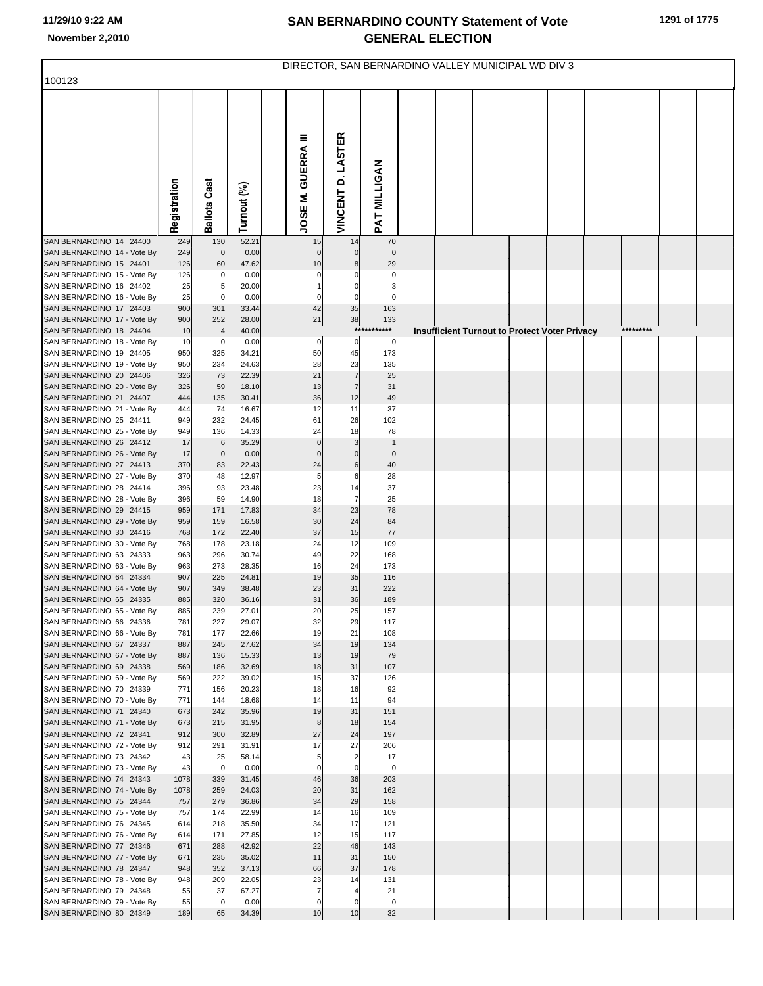|                                                        | DIRECTOR, SAN BERNARDINO VALLEY MUNICIPAL WD DIV 3 |                     |                |  |                             |                                |                            |  |  |  |                                                      |  |  |           |  |  |
|--------------------------------------------------------|----------------------------------------------------|---------------------|----------------|--|-----------------------------|--------------------------------|----------------------------|--|--|--|------------------------------------------------------|--|--|-----------|--|--|
| 100123                                                 |                                                    |                     |                |  |                             |                                |                            |  |  |  |                                                      |  |  |           |  |  |
|                                                        | Registration                                       | <b>Ballots Cast</b> | Turnout (%)    |  | JOSE M. GUERRA III          | VINCENT D. LASTER              | PAT MILLIGAN               |  |  |  |                                                      |  |  |           |  |  |
| SAN BERNARDINO 14 24400                                | 249                                                | 130                 | 52.21          |  | 15                          | 14                             | 70                         |  |  |  |                                                      |  |  |           |  |  |
| SAN BERNARDINO 14 - Vote By                            | 249                                                | $\mathbf 0$         | 0.00           |  |                             | $\mathbf 0$                    | $\mathbf 0$                |  |  |  |                                                      |  |  |           |  |  |
| SAN BERNARDINO 15 24401                                | 126                                                | 60                  | 47.62          |  | 10                          |                                | 29                         |  |  |  |                                                      |  |  |           |  |  |
| SAN BERNARDINO 15 - Vote By<br>SAN BERNARDINO 16 24402 | 126<br>25                                          | 0<br>5              | 0.00<br>20.00  |  |                             |                                | 0                          |  |  |  |                                                      |  |  |           |  |  |
| SAN BERNARDINO 16 - Vote By                            | 25                                                 | 0                   | 0.00           |  | 0                           | $\mathbf 0$                    | 0                          |  |  |  |                                                      |  |  |           |  |  |
| SAN BERNARDINO 17 24403                                | 900                                                | 301                 | 33.44          |  | 42                          | 35                             | 163                        |  |  |  |                                                      |  |  |           |  |  |
| SAN BERNARDINO 17 - Vote By                            | 900                                                | 252                 | 28.00          |  | 21                          | 38                             | 133                        |  |  |  |                                                      |  |  |           |  |  |
| SAN BERNARDINO 18 24404                                | 10                                                 |                     | 40.00          |  |                             | $***$                          | ***                        |  |  |  | <b>Insufficient Turnout to Protect Voter Privacy</b> |  |  | ********* |  |  |
| SAN BERNARDINO 18 - Vote By                            | 10                                                 | 0                   | 0.00           |  | 0                           | $\overline{0}$                 | 0                          |  |  |  |                                                      |  |  |           |  |  |
| SAN BERNARDINO 19 24405<br>SAN BERNARDINO 19 - Vote By | 950<br>950                                         | 325<br>234          | 34.21<br>24.63 |  | 50<br>28                    | 45<br>23                       | 173                        |  |  |  |                                                      |  |  |           |  |  |
| SAN BERNARDINO 20 24406                                | 326                                                | 73                  | 22.39          |  | 21                          | $\overline{7}$                 | 135<br>25                  |  |  |  |                                                      |  |  |           |  |  |
| SAN BERNARDINO 20 - Vote By                            | 326                                                | 59                  | 18.10          |  | 13                          | $\overline{7}$                 | 31                         |  |  |  |                                                      |  |  |           |  |  |
| SAN BERNARDINO 21 24407                                | 444                                                | 135                 | 30.41          |  | 36                          | 12                             | 49                         |  |  |  |                                                      |  |  |           |  |  |
| SAN BERNARDINO 21 - Vote By                            | 444                                                | 74                  | 16.67          |  | 12                          | 11                             | 37                         |  |  |  |                                                      |  |  |           |  |  |
| SAN BERNARDINO 25 24411                                | 949                                                | 232                 | 24.45          |  | 61                          | 26                             | 102                        |  |  |  |                                                      |  |  |           |  |  |
| SAN BERNARDINO 25 - Vote By                            | 949                                                | 136                 | 14.33          |  | 24                          | 18                             | 78                         |  |  |  |                                                      |  |  |           |  |  |
| SAN BERNARDINO 26 24412<br>SAN BERNARDINO 26 - Vote By | 17<br>17                                           | 6<br>0              | 35.29<br>0.00  |  | $\mathsf{C}$<br>$\mathbf 0$ | 3<br>0                         | $\mathbf 1$<br>$\mathbf 0$ |  |  |  |                                                      |  |  |           |  |  |
| SAN BERNARDINO 27 24413                                | 370                                                | 83                  | 22.43          |  | 24                          | 6                              | 40                         |  |  |  |                                                      |  |  |           |  |  |
| SAN BERNARDINO 27 - Vote By                            | 370                                                | 48                  | 12.97          |  | 5                           | 6                              | 28                         |  |  |  |                                                      |  |  |           |  |  |
| SAN BERNARDINO 28 24414                                | 396                                                | 93                  | 23.48          |  | 23                          | 14                             | 37                         |  |  |  |                                                      |  |  |           |  |  |
| SAN BERNARDINO 28 - Vote By                            | 396                                                | 59                  | 14.90          |  | 18                          | $\overline{7}$                 | 25                         |  |  |  |                                                      |  |  |           |  |  |
| SAN BERNARDINO 29 24415                                | 959                                                | 171                 | 17.83          |  | 34                          | 23                             | 78                         |  |  |  |                                                      |  |  |           |  |  |
| SAN BERNARDINO 29 - Vote By                            | 959                                                | 159                 | 16.58          |  | 30<br>37                    | 24                             | 84                         |  |  |  |                                                      |  |  |           |  |  |
| SAN BERNARDINO 30 24416<br>SAN BERNARDINO 30 - Vote By | 768<br>768                                         | 172<br>178          | 22.40<br>23.18 |  | 24                          | 15<br>12                       | $77 \,$<br>109             |  |  |  |                                                      |  |  |           |  |  |
| SAN BERNARDINO 63 24333                                | 963                                                | 296                 | 30.74          |  | 49                          | 22                             | 168                        |  |  |  |                                                      |  |  |           |  |  |
| SAN BERNARDINO 63 - Vote By                            | 963                                                | 273                 | 28.35          |  | 16                          | 24                             | 173                        |  |  |  |                                                      |  |  |           |  |  |
| SAN BERNARDINO 64 24334                                | 907                                                | 225                 | 24.81          |  | 19                          | 35                             | 116                        |  |  |  |                                                      |  |  |           |  |  |
| SAN BERNARDINO 64 - Vote By                            | 907                                                | 349                 | 38.48          |  | 23                          | 31                             | 222                        |  |  |  |                                                      |  |  |           |  |  |
| SAN BERNARDINO 65 24335                                | 885                                                | 320                 | 36.16          |  | 31                          | 36                             | 189                        |  |  |  |                                                      |  |  |           |  |  |
| SAN BERNARDINO 65 - Vote By<br>SAN BERNARDINO 66 24336 | 885<br>781                                         | 239<br>227          | 27.01<br>29.07 |  | 20<br>32                    | 25<br>29                       | 157<br>117                 |  |  |  |                                                      |  |  |           |  |  |
| SAN BERNARDINO 66 - Vote By                            | 781                                                | 177                 | 22.66          |  | 19                          | 21                             | 108                        |  |  |  |                                                      |  |  |           |  |  |
| SAN BERNARDINO 67 24337                                | 887                                                | 245                 | 27.62          |  | 34                          | 19                             | 134                        |  |  |  |                                                      |  |  |           |  |  |
| SAN BERNARDINO 67 - Vote By                            | 887                                                | 136                 | 15.33          |  | 13                          | 19                             | 79                         |  |  |  |                                                      |  |  |           |  |  |
| SAN BERNARDINO 69 24338                                | 569                                                | 186                 | 32.69          |  | 18                          | 31                             | 107                        |  |  |  |                                                      |  |  |           |  |  |
| SAN BERNARDINO 69 - Vote By                            | 569                                                | 222                 | 39.02          |  | 15                          | 37                             | 126                        |  |  |  |                                                      |  |  |           |  |  |
| SAN BERNARDINO 70 24339<br>SAN BERNARDINO 70 - Vote By | 771<br>771                                         | 156<br>144          | 20.23<br>18.68 |  | 18<br>14                    | 16<br>11                       | 92<br>94                   |  |  |  |                                                      |  |  |           |  |  |
| SAN BERNARDINO 71 24340                                | 673                                                | 242                 | 35.96          |  | 19                          | 31                             | 151                        |  |  |  |                                                      |  |  |           |  |  |
| SAN BERNARDINO 71 - Vote By                            | 673                                                | 215                 | 31.95          |  | 8                           | 18                             | 154                        |  |  |  |                                                      |  |  |           |  |  |
| SAN BERNARDINO 72 24341                                | 912                                                | 300                 | 32.89          |  | 27                          | 24                             | 197                        |  |  |  |                                                      |  |  |           |  |  |
| SAN BERNARDINO 72 - Vote By                            | 912                                                | 291                 | 31.91          |  | 17                          | 27                             | 206                        |  |  |  |                                                      |  |  |           |  |  |
| SAN BERNARDINO 73 24342                                | 43                                                 | 25                  | 58.14          |  | 5<br>$\mathbf 0$            | $\overline{2}$<br>$\mathbf{0}$ | 17<br>$\mathbf 0$          |  |  |  |                                                      |  |  |           |  |  |
| SAN BERNARDINO 73 - Vote By<br>SAN BERNARDINO 74 24343 | 43<br>1078                                         | 0<br>339            | 0.00<br>31.45  |  | 46                          | 36                             | 203                        |  |  |  |                                                      |  |  |           |  |  |
| SAN BERNARDINO 74 - Vote By                            | 1078                                               | 259                 | 24.03          |  | 20                          | 31                             | 162                        |  |  |  |                                                      |  |  |           |  |  |
| SAN BERNARDINO 75 24344                                | 757                                                | 279                 | 36.86          |  | 34                          | 29                             | 158                        |  |  |  |                                                      |  |  |           |  |  |
| SAN BERNARDINO 75 - Vote By                            | 757                                                | 174                 | 22.99          |  | 14                          | 16                             | 109                        |  |  |  |                                                      |  |  |           |  |  |
| SAN BERNARDINO 76 24345                                | 614                                                | 218                 | 35.50          |  | 34                          | 17                             | 121                        |  |  |  |                                                      |  |  |           |  |  |
| SAN BERNARDINO 76 - Vote By                            | 614                                                | 171                 | 27.85          |  | 12                          | 15                             | 117                        |  |  |  |                                                      |  |  |           |  |  |
| SAN BERNARDINO 77 24346<br>SAN BERNARDINO 77 - Vote By | 671<br>671                                         | 288<br>235          | 42.92<br>35.02 |  | 22<br>11                    | 46<br>31                       | 143<br>150                 |  |  |  |                                                      |  |  |           |  |  |
| SAN BERNARDINO 78 24347                                | 948                                                | 352                 | 37.13          |  | 66                          | 37                             | 178                        |  |  |  |                                                      |  |  |           |  |  |
| SAN BERNARDINO 78 - Vote By                            | 948                                                | 209                 | 22.05          |  | 23                          | 14                             | 131                        |  |  |  |                                                      |  |  |           |  |  |
| SAN BERNARDINO 79 24348                                | 55                                                 | 37                  | 67.27          |  | $\overline{7}$              | 4                              | 21                         |  |  |  |                                                      |  |  |           |  |  |
| SAN BERNARDINO 79 - Vote By                            | 55                                                 | $\mathbf 0$         | 0.00           |  | $\mathbf 0$                 | 0                              | $\mathbf 0$                |  |  |  |                                                      |  |  |           |  |  |
| SAN BERNARDINO 80 24349                                | 189                                                | 65                  | 34.39          |  | 10                          | 10                             | 32                         |  |  |  |                                                      |  |  |           |  |  |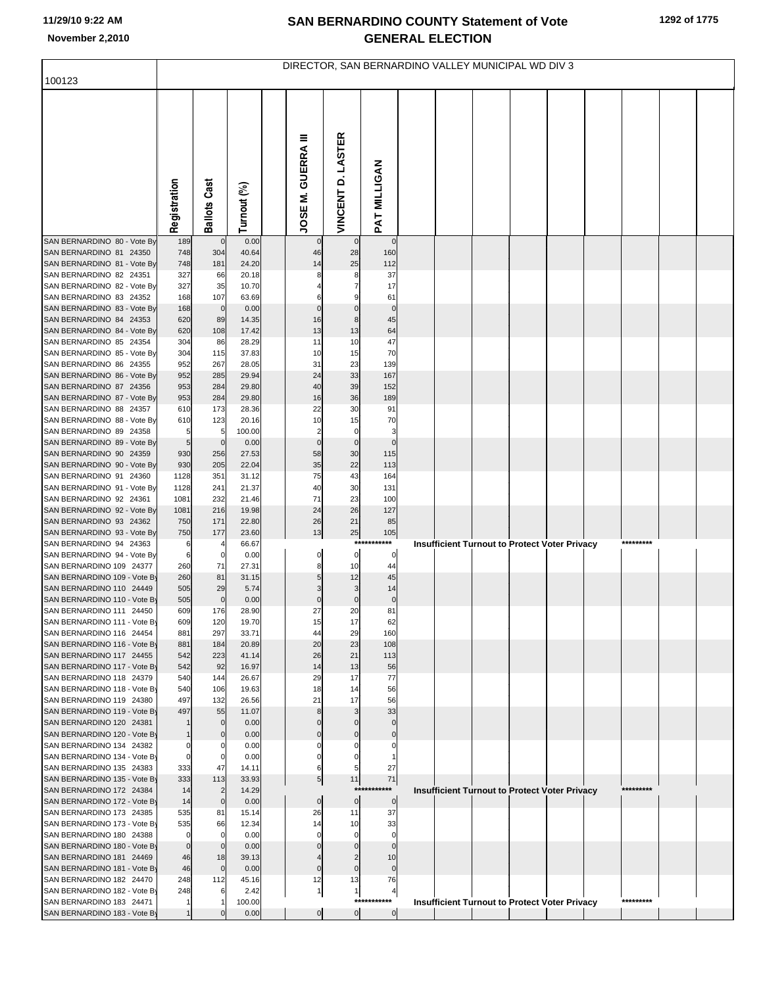|                                                          | DIRECTOR, SAN BERNARDINO VALLEY MUNICIPAL WD DIV 3 |                       |                |  |                           |                      |                         |  |  |  |  |                                                      |  |           |  |
|----------------------------------------------------------|----------------------------------------------------|-----------------------|----------------|--|---------------------------|----------------------|-------------------------|--|--|--|--|------------------------------------------------------|--|-----------|--|
| 100123                                                   |                                                    |                       |                |  |                           |                      |                         |  |  |  |  |                                                      |  |           |  |
|                                                          | Registration                                       | <b>Ballots Cast</b>   | Turnout (%)    |  | <b>JOSE M. GUERRA III</b> | VINCENT D. LASTER    | PAT MILLIGAN            |  |  |  |  |                                                      |  |           |  |
| SAN BERNARDINO 80 - Vote By                              | 189                                                | $\mathbf 0$           | 0.00           |  | 0                         | $\mathbf 0$          | $\mathbf 0$             |  |  |  |  |                                                      |  |           |  |
| SAN BERNARDINO 81 24350<br>SAN BERNARDINO 81 - Vote By   | 748<br>748                                         | 304<br>181            | 40.64<br>24.20 |  | 46<br>14                  | 28<br>25             | 160<br>112              |  |  |  |  |                                                      |  |           |  |
| SAN BERNARDINO 82 24351                                  | 327                                                | 66                    | 20.18          |  |                           | 8                    | 37                      |  |  |  |  |                                                      |  |           |  |
| SAN BERNARDINO 82 - Vote By                              | 327                                                | 35                    | 10.70          |  |                           |                      | 17                      |  |  |  |  |                                                      |  |           |  |
| SAN BERNARDINO 83 24352<br>SAN BERNARDINO 83 - Vote By   | 168<br>168                                         | 107<br>$\overline{0}$ | 63.69<br>0.00  |  | 0                         | 0                    | 61<br>$\circ$           |  |  |  |  |                                                      |  |           |  |
| SAN BERNARDINO 84 24353                                  | 620                                                | 89                    | 14.35          |  | 16                        | 8                    | 45                      |  |  |  |  |                                                      |  |           |  |
| SAN BERNARDINO 84 - Vote By                              | 620                                                | 108                   | 17.42          |  | 13                        | 13                   | 64                      |  |  |  |  |                                                      |  |           |  |
| SAN BERNARDINO 85 24354                                  | 304                                                | 86                    | 28.29          |  | 11                        | 10                   | 47                      |  |  |  |  |                                                      |  |           |  |
| SAN BERNARDINO 85 - Vote By<br>SAN BERNARDINO 86 24355   | 304<br>952                                         | 115<br>267            | 37.83<br>28.05 |  | 10<br>31                  | 15<br>23             | 70<br>139               |  |  |  |  |                                                      |  |           |  |
| SAN BERNARDINO 86 - Vote By                              | 952                                                | 285                   | 29.94          |  | 24                        | 33                   | 167                     |  |  |  |  |                                                      |  |           |  |
| SAN BERNARDINO 87 24356                                  | 953                                                | 284                   | 29.80          |  | 40                        | 39                   | 152                     |  |  |  |  |                                                      |  |           |  |
| SAN BERNARDINO 87 - Vote By                              | 953                                                | 284                   | 29.80          |  | 16                        | 36                   | 189                     |  |  |  |  |                                                      |  |           |  |
| SAN BERNARDINO 88 24357<br>SAN BERNARDINO 88 - Vote By   | 610<br>610                                         | 173<br>123            | 28.36<br>20.16 |  | 22<br>10                  | 30<br>15             | 91<br>70                |  |  |  |  |                                                      |  |           |  |
| SAN BERNARDINO 89 24358                                  | 5                                                  | 5                     | 100.00         |  | $\overline{2}$            | 0                    | 3                       |  |  |  |  |                                                      |  |           |  |
| SAN BERNARDINO 89 - Vote By                              | 5                                                  | $\mathbf 0$           | 0.00           |  | $\mathbf 0$               | $\pmb{0}$            | $\mathbf 0$             |  |  |  |  |                                                      |  |           |  |
| SAN BERNARDINO 90 24359<br>SAN BERNARDINO 90 - Vote By   | 930<br>930                                         | 256<br>205            | 27.53<br>22.04 |  | 58<br>35                  | 30<br>22             | 115<br>113              |  |  |  |  |                                                      |  |           |  |
| SAN BERNARDINO 91 24360                                  | 1128                                               | 351                   | 31.12          |  | 75                        | 43                   | 164                     |  |  |  |  |                                                      |  |           |  |
| SAN BERNARDINO 91 - Vote By                              | 1128                                               | 241                   | 21.37          |  | 40                        | 30                   | 131                     |  |  |  |  |                                                      |  |           |  |
| SAN BERNARDINO 92 24361                                  | 1081                                               | 232                   | 21.46          |  | 71                        | 23                   | 100                     |  |  |  |  |                                                      |  |           |  |
| SAN BERNARDINO 92 - Vote By<br>SAN BERNARDINO 93 24362   | 1081<br>750                                        | 216<br>171            | 19.98<br>22.80 |  | 24<br>26                  | 26<br>21             | 127<br>85               |  |  |  |  |                                                      |  |           |  |
| SAN BERNARDINO 93 - Vote By                              | 750                                                | 177                   | 23.60          |  | 13                        | 25                   | 105                     |  |  |  |  |                                                      |  |           |  |
| SAN BERNARDINO 94 24363                                  | 6                                                  |                       | 66.67          |  |                           | $***$                | ****                    |  |  |  |  | Insufficient Turnout to Protect Voter Privacy        |  |           |  |
| SAN BERNARDINO 94 - Vote By<br>SAN BERNARDINO 109 24377  | 6<br>260                                           | 0<br>71               | 0.00<br>27.31  |  | 0                         | $\overline{0}$<br>10 | 0<br>44                 |  |  |  |  |                                                      |  |           |  |
| SAN BERNARDINO 109 - Vote By                             | 260                                                | 81                    | 31.15          |  |                           | 12                   | 45                      |  |  |  |  |                                                      |  |           |  |
| SAN BERNARDINO 110 24449                                 | 505                                                | 29                    | 5.74           |  |                           | 3                    | 14                      |  |  |  |  |                                                      |  |           |  |
| SAN BERNARDINO 110 - Vote By                             | 505                                                | $\mathbf 0$           | 0.00           |  | $\mathbf 0$               | $\pmb{0}$            | $\pmb{0}$               |  |  |  |  |                                                      |  |           |  |
| SAN BERNARDINO 111 24450<br>SAN BERNARDINO 111 - Vote By | 609<br>609                                         | 176<br>120            | 28.90<br>19.70 |  | 27<br>15                  | 20<br>17             | 81<br>62                |  |  |  |  |                                                      |  |           |  |
| SAN BERNARDINO 116 24454                                 | 881                                                | 297                   | 33.71          |  | 44                        | 29                   | 160                     |  |  |  |  |                                                      |  |           |  |
| SAN BERNARDINO 116 - Vote By                             | 881                                                | 184                   | 20.89          |  | 20                        | 23                   | 108                     |  |  |  |  |                                                      |  |           |  |
| SAN BERNARDINO 117 24455<br>SAN BERNARDINO 117 - Vote By | 542<br>542                                         | 223<br>92             | 41.14<br>16.97 |  | 26<br>14                  | 21<br>13             | 113<br>56               |  |  |  |  |                                                      |  |           |  |
| SAN BERNARDINO 118 24379                                 | 540                                                | 144                   | 26.67          |  | 29                        | 17                   | 77                      |  |  |  |  |                                                      |  |           |  |
| SAN BERNARDINO 118 - Vote By                             | 540                                                | 106                   | 19.63          |  | 18                        | 14                   | 56                      |  |  |  |  |                                                      |  |           |  |
| SAN BERNARDINO 119 24380<br>SAN BERNARDINO 119 - Vote By | 497<br>497                                         | 132<br>55             | 26.56<br>11.07 |  | 21<br>8                   | 17<br>3              | 56<br>33                |  |  |  |  |                                                      |  |           |  |
| SAN BERNARDINO 120 24381                                 |                                                    | $\mathbf 0$           | 0.00           |  |                           |                      | $\Omega$                |  |  |  |  |                                                      |  |           |  |
| SAN BERNARDINO 120 - Vote By                             |                                                    | $\mathbf{0}$          | 0.00           |  |                           | $\Omega$             | $\Omega$                |  |  |  |  |                                                      |  |           |  |
| SAN BERNARDINO 134 24382                                 |                                                    | 0                     | 0.00           |  |                           | 0                    |                         |  |  |  |  |                                                      |  |           |  |
| SAN BERNARDINO 134 - Vote By<br>SAN BERNARDINO 135 24383 | 0<br>333                                           | $\mathbf 0$<br>47     | 0.00<br>14.11  |  |                           | 5                    | 27                      |  |  |  |  |                                                      |  |           |  |
| SAN BERNARDINO 135 - Vote By                             | 333                                                | 113                   | 33.93          |  | $\sqrt{5}$                | 11                   | 71                      |  |  |  |  |                                                      |  |           |  |
| SAN BERNARDINO 172 24384                                 | 14                                                 | $\overline{2}$        | 14.29          |  |                           | $***$                |                         |  |  |  |  | <b>Insufficient Turnout to Protect Voter Privacy</b> |  | ********* |  |
| SAN BERNARDINO 172 - Vote By<br>SAN BERNARDINO 173 24385 | 14<br>535                                          | $\mathbf 0$<br>81     | 0.00<br>15.14  |  | $\pmb{0}$<br>26           | $\overline{0}$<br>11 | $\mathbf 0$<br>37       |  |  |  |  |                                                      |  |           |  |
| SAN BERNARDINO 173 - Vote By                             | 535                                                | 66                    | 12.34          |  | 14                        | 10                   | 33                      |  |  |  |  |                                                      |  |           |  |
| SAN BERNARDINO 180 24388                                 | 0                                                  | $\mathbf 0$           | 0.00           |  |                           | $\mathbf 0$          | $\mathbf 0$             |  |  |  |  |                                                      |  |           |  |
| SAN BERNARDINO 180 - Vote By                             | $\mathbf 0$                                        | $\mathbf{0}$          | 0.00           |  |                           |                      | $\Omega$                |  |  |  |  |                                                      |  |           |  |
| SAN BERNARDINO 181 24469<br>SAN BERNARDINO 181 - Vote By | 46<br>46                                           | 18<br>$\mathbf{0}$    | 39.13<br>0.00  |  | $\mathbf 0$               | $\mathbf 0$          | 10<br>$\mathbf 0$       |  |  |  |  |                                                      |  |           |  |
| SAN BERNARDINO 182 24470                                 | 248                                                | 112                   | 45.16          |  | 12                        | 13                   | 76                      |  |  |  |  |                                                      |  |           |  |
| SAN BERNARDINO 182 - Vote By                             | 248                                                |                       | 2.42           |  | $\overline{1}$            | $\mathbf{1}$         | 4                       |  |  |  |  |                                                      |  |           |  |
| SAN BERNARDINO 183 24471                                 |                                                    |                       | 100.00         |  |                           | ***                  | *****<br>$\overline{0}$ |  |  |  |  | <b>Insufficient Turnout to Protect Voter Privacy</b> |  | ********* |  |
| SAN BERNARDINO 183 - Vote By                             |                                                    |                       | 0.00           |  | $\mathbf 0$               | $\overline{0}$       |                         |  |  |  |  |                                                      |  |           |  |